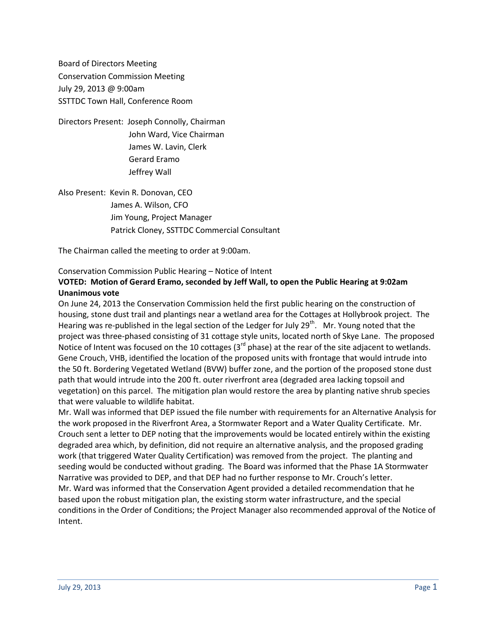Board of Directors Meeting Conservation Commission Meeting July 29, 2013 @ 9:00am SSTTDC Town Hall, Conference Room

Directors Present: Joseph Connolly, Chairman John Ward, Vice Chairman James W. Lavin, Clerk Gerard Eramo Jeffrey Wall

Also Present: Kevin R. Donovan, CEO James A. Wilson, CFO Jim Young, Project Manager Patrick Cloney, SSTTDC Commercial Consultant

The Chairman called the meeting to order at 9:00am.

### Conservation Commission Public Hearing – Notice of Intent

## **VOTED: Motion of Gerard Eramo, seconded by Jeff Wall, to open the Public Hearing at 9:02am Unanimous vote**

On June 24, 2013 the Conservation Commission held the first public hearing on the construction of housing, stone dust trail and plantings near a wetland area for the Cottages at Hollybrook project. The Hearing was re-published in the legal section of the Ledger for July 29<sup>th</sup>. Mr. Young noted that the project was three-phased consisting of 31 cottage style units, located north of Skye Lane. The proposed Notice of Intent was focused on the 10 cottages ( $3<sup>rd</sup>$  phase) at the rear of the site adjacent to wetlands. Gene Crouch, VHB, identified the location of the proposed units with frontage that would intrude into the 50 ft. Bordering Vegetated Wetland (BVW) buffer zone, and the portion of the proposed stone dust path that would intrude into the 200 ft. outer riverfront area (degraded area lacking topsoil and vegetation) on this parcel. The mitigation plan would restore the area by planting native shrub species that were valuable to wildlife habitat.

Mr. Wall was informed that DEP issued the file number with requirements for an Alternative Analysis for the work proposed in the Riverfront Area, a Stormwater Report and a Water Quality Certificate. Mr. Crouch sent a letter to DEP noting that the improvements would be located entirely within the existing degraded area which, by definition, did not require an alternative analysis, and the proposed grading work (that triggered Water Quality Certification) was removed from the project. The planting and seeding would be conducted without grading. The Board was informed that the Phase 1A Stormwater Narrative was provided to DEP, and that DEP had no further response to Mr. Crouch's letter. Mr. Ward was informed that the Conservation Agent provided a detailed recommendation that he based upon the robust mitigation plan, the existing storm water infrastructure, and the special conditions in the Order of Conditions; the Project Manager also recommended approval of the Notice of Intent.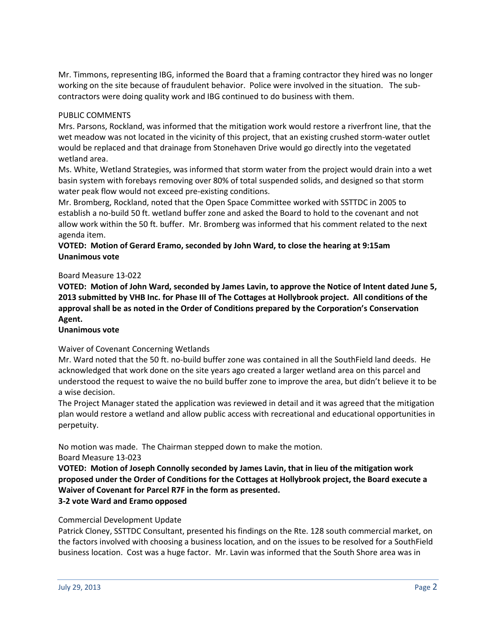Mr. Timmons, representing IBG, informed the Board that a framing contractor they hired was no longer working on the site because of fraudulent behavior. Police were involved in the situation. The subcontractors were doing quality work and IBG continued to do business with them.

# PUBLIC COMMENTS

Mrs. Parsons, Rockland, was informed that the mitigation work would restore a riverfront line, that the wet meadow was not located in the vicinity of this project, that an existing crushed storm-water outlet would be replaced and that drainage from Stonehaven Drive would go directly into the vegetated wetland area.

Ms. White, Wetland Strategies, was informed that storm water from the project would drain into a wet basin system with forebays removing over 80% of total suspended solids, and designed so that storm water peak flow would not exceed pre-existing conditions.

Mr. Bromberg, Rockland, noted that the Open Space Committee worked with SSTTDC in 2005 to establish a no-build 50 ft. wetland buffer zone and asked the Board to hold to the covenant and not allow work within the 50 ft. buffer. Mr. Bromberg was informed that his comment related to the next agenda item.

# **VOTED: Motion of Gerard Eramo, seconded by John Ward, to close the hearing at 9:15am Unanimous vote**

### Board Measure 13-022

**VOTED: Motion of John Ward, seconded by James Lavin, to approve the Notice of Intent dated June 5, 2013 submitted by VHB Inc. for Phase III of The Cottages at Hollybrook project. All conditions of the approval shall be as noted in the Order of Conditions prepared by the Corporation's Conservation Agent.**

## **Unanimous vote**

## Waiver of Covenant Concerning Wetlands

Mr. Ward noted that the 50 ft. no-build buffer zone was contained in all the SouthField land deeds. He acknowledged that work done on the site years ago created a larger wetland area on this parcel and understood the request to waive the no build buffer zone to improve the area, but didn't believe it to be a wise decision.

The Project Manager stated the application was reviewed in detail and it was agreed that the mitigation plan would restore a wetland and allow public access with recreational and educational opportunities in perpetuity.

No motion was made. The Chairman stepped down to make the motion.

Board Measure 13-023

**VOTED: Motion of Joseph Connolly seconded by James Lavin, that in lieu of the mitigation work proposed under the Order of Conditions for the Cottages at Hollybrook project, the Board execute a Waiver of Covenant for Parcel R7F in the form as presented.**

# **3-2 vote Ward and Eramo opposed**

## Commercial Development Update

Patrick Cloney, SSTTDC Consultant, presented his findings on the Rte. 128 south commercial market, on the factors involved with choosing a business location, and on the issues to be resolved for a SouthField business location. Cost was a huge factor. Mr. Lavin was informed that the South Shore area was in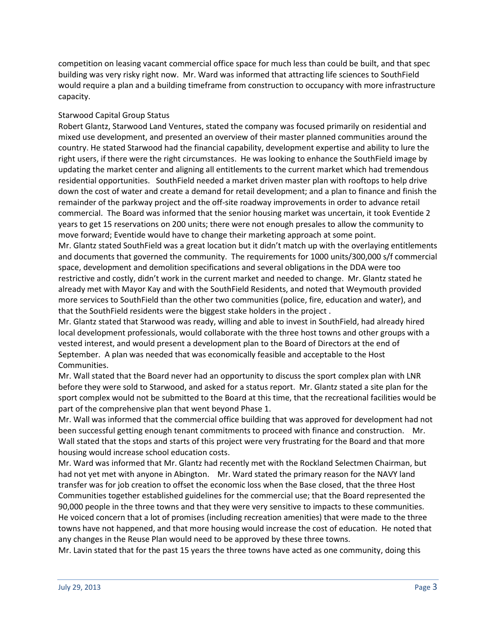competition on leasing vacant commercial office space for much less than could be built, and that spec building was very risky right now. Mr. Ward was informed that attracting life sciences to SouthField would require a plan and a building timeframe from construction to occupancy with more infrastructure capacity.

## Starwood Capital Group Status

Robert Glantz, Starwood Land Ventures, stated the company was focused primarily on residential and mixed use development, and presented an overview of their master planned communities around the country. He stated Starwood had the financial capability, development expertise and ability to lure the right users, if there were the right circumstances. He was looking to enhance the SouthField image by updating the market center and aligning all entitlements to the current market which had tremendous residential opportunities. SouthField needed a market driven master plan with rooftops to help drive down the cost of water and create a demand for retail development; and a plan to finance and finish the remainder of the parkway project and the off-site roadway improvements in order to advance retail commercial. The Board was informed that the senior housing market was uncertain, it took Eventide 2 years to get 15 reservations on 200 units; there were not enough presales to allow the community to move forward; Eventide would have to change their marketing approach at some point.

Mr. Glantz stated SouthField was a great location but it didn't match up with the overlaying entitlements and documents that governed the community. The requirements for 1000 units/300,000 s/f commercial space, development and demolition specifications and several obligations in the DDA were too restrictive and costly, didn't work in the current market and needed to change. Mr. Glantz stated he already met with Mayor Kay and with the SouthField Residents, and noted that Weymouth provided more services to SouthField than the other two communities (police, fire, education and water), and that the SouthField residents were the biggest stake holders in the project .

Mr. Glantz stated that Starwood was ready, willing and able to invest in SouthField, had already hired local development professionals, would collaborate with the three host towns and other groups with a vested interest, and would present a development plan to the Board of Directors at the end of September. A plan was needed that was economically feasible and acceptable to the Host Communities.

Mr. Wall stated that the Board never had an opportunity to discuss the sport complex plan with LNR before they were sold to Starwood, and asked for a status report. Mr. Glantz stated a site plan for the sport complex would not be submitted to the Board at this time, that the recreational facilities would be part of the comprehensive plan that went beyond Phase 1.

Mr. Wall was informed that the commercial office building that was approved for development had not been successful getting enough tenant commitments to proceed with finance and construction. Mr. Wall stated that the stops and starts of this project were very frustrating for the Board and that more housing would increase school education costs.

Mr. Ward was informed that Mr. Glantz had recently met with the Rockland Selectmen Chairman, but had not yet met with anyone in Abington. Mr. Ward stated the primary reason for the NAVY land transfer was for job creation to offset the economic loss when the Base closed, that the three Host Communities together established guidelines for the commercial use; that the Board represented the 90,000 people in the three towns and that they were very sensitive to impacts to these communities. He voiced concern that a lot of promises (including recreation amenities) that were made to the three towns have not happened, and that more housing would increase the cost of education. He noted that any changes in the Reuse Plan would need to be approved by these three towns.

Mr. Lavin stated that for the past 15 years the three towns have acted as one community, doing this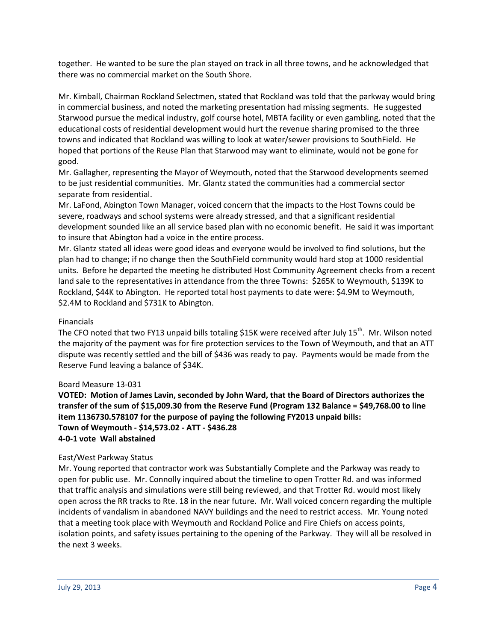together. He wanted to be sure the plan stayed on track in all three towns, and he acknowledged that there was no commercial market on the South Shore.

Mr. Kimball, Chairman Rockland Selectmen, stated that Rockland was told that the parkway would bring in commercial business, and noted the marketing presentation had missing segments. He suggested Starwood pursue the medical industry, golf course hotel, MBTA facility or even gambling, noted that the educational costs of residential development would hurt the revenue sharing promised to the three towns and indicated that Rockland was willing to look at water/sewer provisions to SouthField. He hoped that portions of the Reuse Plan that Starwood may want to eliminate, would not be gone for good.

Mr. Gallagher, representing the Mayor of Weymouth, noted that the Starwood developments seemed to be just residential communities. Mr. Glantz stated the communities had a commercial sector separate from residential.

Mr. LaFond, Abington Town Manager, voiced concern that the impacts to the Host Towns could be severe, roadways and school systems were already stressed, and that a significant residential development sounded like an all service based plan with no economic benefit. He said it was important to insure that Abington had a voice in the entire process.

Mr. Glantz stated all ideas were good ideas and everyone would be involved to find solutions, but the plan had to change; if no change then the SouthField community would hard stop at 1000 residential units. Before he departed the meeting he distributed Host Community Agreement checks from a recent land sale to the representatives in attendance from the three Towns: \$265K to Weymouth, \$139K to Rockland, \$44K to Abington. He reported total host payments to date were: \$4.9M to Weymouth, \$2.4M to Rockland and \$731K to Abington.

## Financials

The CFO noted that two FY13 unpaid bills totaling \$15K were received after July 15<sup>th</sup>. Mr. Wilson noted the majority of the payment was for fire protection services to the Town of Weymouth, and that an ATT dispute was recently settled and the bill of \$436 was ready to pay. Payments would be made from the Reserve Fund leaving a balance of \$34K.

#### Board Measure 13-031

**VOTED: Motion of James Lavin, seconded by John Ward, that the Board of Directors authorizes the transfer of the sum of \$15,009.30 from the Reserve Fund (Program 132 Balance = \$49,768.00 to line item 1136730.578107 for the purpose of paying the following FY2013 unpaid bills: Town of Weymouth - \$14,573.02 - ATT - \$436.28 4-0-1 vote Wall abstained**

#### East/West Parkway Status

Mr. Young reported that contractor work was Substantially Complete and the Parkway was ready to open for public use. Mr. Connolly inquired about the timeline to open Trotter Rd. and was informed that traffic analysis and simulations were still being reviewed, and that Trotter Rd. would most likely open across the RR tracks to Rte. 18 in the near future. Mr. Wall voiced concern regarding the multiple incidents of vandalism in abandoned NAVY buildings and the need to restrict access. Mr. Young noted that a meeting took place with Weymouth and Rockland Police and Fire Chiefs on access points, isolation points, and safety issues pertaining to the opening of the Parkway. They will all be resolved in the next 3 weeks.